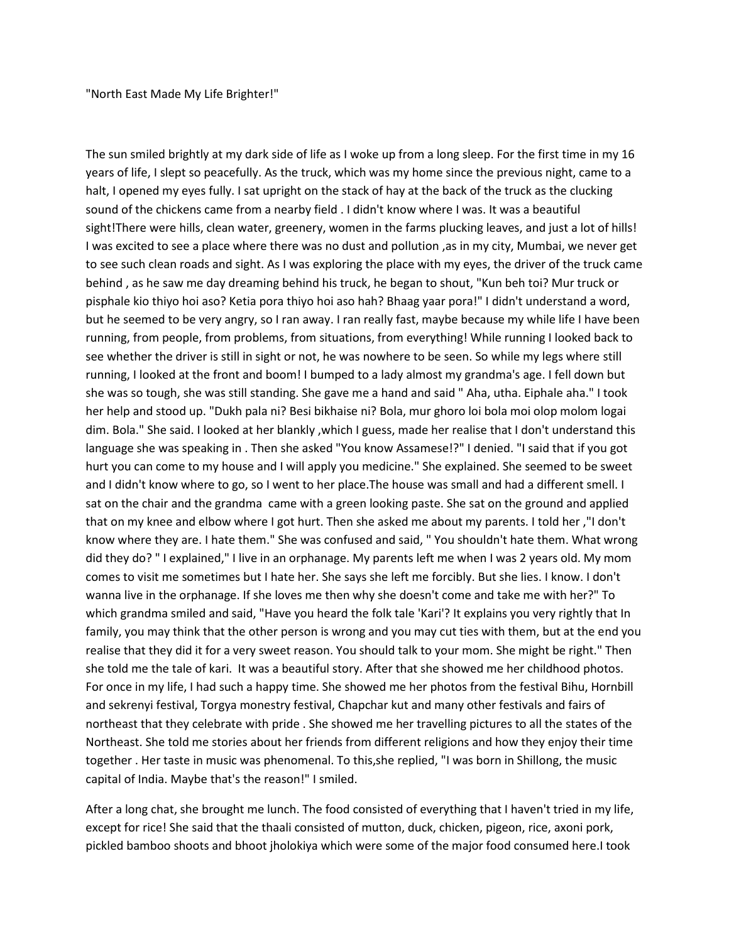"North East Made My Life Brighter!"

The sun smiled brightly at my dark side of life as I woke up from a long sleep. For the first time in my 16 years of life, I slept so peacefully. As the truck, which was my home since the previous night, came to a halt, I opened my eyes fully. I sat upright on the stack of hay at the back of the truck as the clucking sound of the chickens came from a nearby field . I didn't know where I was. It was a beautiful sight!There were hills, clean water, greenery, women in the farms plucking leaves, and just a lot of hills! I was excited to see a place where there was no dust and pollution ,as in my city, Mumbai, we never get to see such clean roads and sight. As I was exploring the place with my eyes, the driver of the truck came behind , as he saw me day dreaming behind his truck, he began to shout, "Kun beh toi? Mur truck or pisphale kio thiyo hoi aso? Ketia pora thiyo hoi aso hah? Bhaag yaar pora!" I didn't understand a word, but he seemed to be very angry, so I ran away. I ran really fast, maybe because my while life I have been running, from people, from problems, from situations, from everything! While running I looked back to see whether the driver is still in sight or not, he was nowhere to be seen. So while my legs where still running, I looked at the front and boom! I bumped to a lady almost my grandma's age. I fell down but she was so tough, she was still standing. She gave me a hand and said " Aha, utha. Eiphale aha." I took her help and stood up. "Dukh pala ni? Besi bikhaise ni? Bola, mur ghoro loi bola moi olop molom logai dim. Bola." She said. I looked at her blankly ,which I guess, made her realise that I don't understand this language she was speaking in . Then she asked "You know Assamese!?" I denied. "I said that if you got hurt you can come to my house and I will apply you medicine." She explained. She seemed to be sweet and I didn't know where to go, so I went to her place.The house was small and had a different smell. I sat on the chair and the grandma came with a green looking paste. She sat on the ground and applied that on my knee and elbow where I got hurt. Then she asked me about my parents. I told her ,"I don't know where they are. I hate them." She was confused and said, " You shouldn't hate them. What wrong did they do? " I explained," I live in an orphanage. My parents left me when I was 2 years old. My mom comes to visit me sometimes but I hate her. She says she left me forcibly. But she lies. I know. I don't wanna live in the orphanage. If she loves me then why she doesn't come and take me with her?" To which grandma smiled and said, "Have you heard the folk tale 'Kari'? It explains you very rightly that In family, you may think that the other person is wrong and you may cut ties with them, but at the end you realise that they did it for a very sweet reason. You should talk to your mom. She might be right." Then she told me the tale of kari. It was a beautiful story. After that she showed me her childhood photos. For once in my life, I had such a happy time. She showed me her photos from the festival Bihu, Hornbill and sekrenyi festival, Torgya monestry festival, Chapchar kut and many other festivals and fairs of northeast that they celebrate with pride . She showed me her travelling pictures to all the states of the Northeast. She told me stories about her friends from different religions and how they enjoy their time together . Her taste in music was phenomenal. To this,she replied, "I was born in Shillong, the music capital of India. Maybe that's the reason!" I smiled.

After a long chat, she brought me lunch. The food consisted of everything that I haven't tried in my life, except for rice! She said that the thaali consisted of mutton, duck, chicken, pigeon, rice, axoni pork, pickled bamboo shoots and bhoot jholokiya which were some of the major food consumed here.I took